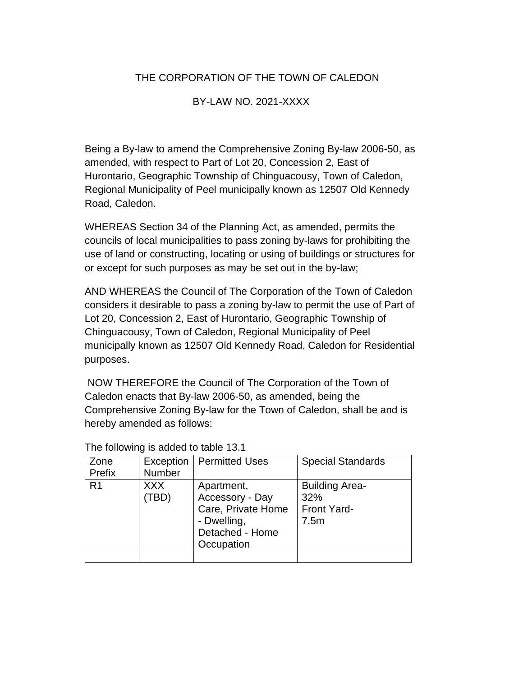## THE CORPORATION OF THE TOWN OF CALEDON

## BY-LAW NO. 2021-XXXX

Being a By-law to amend the Comprehensive Zoning By-law 2006-50, as amended, with respect to Part of Lot 20, Concession 2, East of Hurontario, Geographic Township of Chinguacousy, Town of Caledon, Regional Municipality of Peel municipally known as 12507 Old Kennedy Road, Caledon.

WHEREAS Section 34 of the Planning Act, as amended, permits the councils of local municipalities to pass zoning by-laws for prohibiting the use of land or constructing, locating or using of buildings or structures for or except for such purposes as may be set out in the by-law;

AND WHEREAS the Council of The Corporation of the Town of Caledon considers it desirable to pass a zoning by-law to permit the use of Part of Lot 20, Concession 2, East of Hurontario, Geographic Township of Chinguacousy, Town of Caledon, Regional Municipality of Peel municipally known as 12507 Old Kennedy Road, Caledon for Residential purposes.

 NOW THEREFORE the Council of The Corporation of the Town of Caledon enacts that By-law 2006-50, as amended, being the Comprehensive Zoning By-law for the Town of Caledon, shall be and is hereby amended as follows:

| Zone<br>Prefix | Number              | <b>Exception   Permitted Uses</b>                                                                   | <b>Special Standards</b>                                   |
|----------------|---------------------|-----------------------------------------------------------------------------------------------------|------------------------------------------------------------|
| R <sub>1</sub> | <b>XXX</b><br>(TBD) | Apartment,<br>Accessory - Day<br>Care, Private Home<br>- Dwelling,<br>Detached - Home<br>Occupation | <b>Building Area-</b><br>32%<br><b>Front Yard-</b><br>7.5m |
|                |                     |                                                                                                     |                                                            |

The following is added to table 13.1